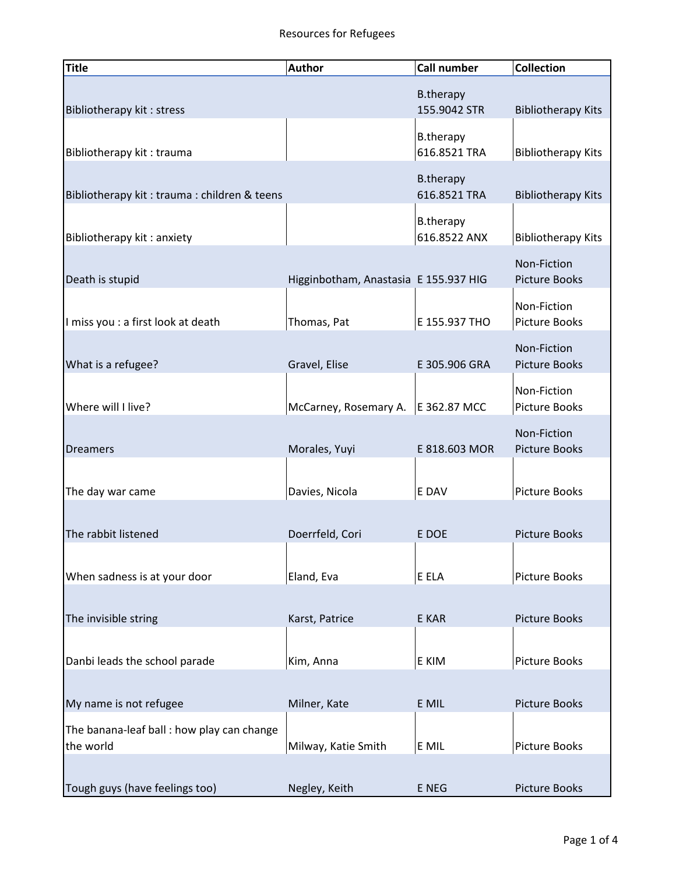## Resources for Refugees

| <b>Title</b>                                           | <b>Author</b>                         | <b>Call number</b>               | <b>Collection</b>                   |
|--------------------------------------------------------|---------------------------------------|----------------------------------|-------------------------------------|
| Bibliotherapy kit: stress                              |                                       | <b>B.therapy</b><br>155.9042 STR | <b>Bibliotherapy Kits</b>           |
| Bibliotherapy kit: trauma                              |                                       | <b>B.therapy</b><br>616.8521 TRA | <b>Bibliotherapy Kits</b>           |
| Bibliotherapy kit: trauma: children & teens            |                                       | <b>B.therapy</b><br>616.8521 TRA | <b>Bibliotherapy Kits</b>           |
| Bibliotherapy kit: anxiety                             |                                       | <b>B.therapy</b><br>616.8522 ANX | <b>Bibliotherapy Kits</b>           |
| Death is stupid                                        | Higginbotham, Anastasia E 155.937 HIG |                                  | Non-Fiction<br><b>Picture Books</b> |
| I miss you : a first look at death                     | Thomas, Pat                           | E 155.937 THO                    | Non-Fiction<br>Picture Books        |
| What is a refugee?                                     | Gravel, Elise                         | E 305.906 GRA                    | Non-Fiction<br><b>Picture Books</b> |
| Where will I live?                                     | McCarney, Rosemary A.   E 362.87 MCC  |                                  | Non-Fiction<br><b>Picture Books</b> |
| <b>Dreamers</b>                                        | Morales, Yuyi                         | E 818.603 MOR                    | Non-Fiction<br><b>Picture Books</b> |
| The day war came                                       | Davies, Nicola                        | E DAV                            | <b>Picture Books</b>                |
| The rabbit listened                                    | Doerrfeld, Cori                       | E DOE                            | <b>Picture Books</b>                |
| When sadness is at your door                           | Eland, Eva                            | E ELA                            | <b>Picture Books</b>                |
| The invisible string                                   | Karst, Patrice                        | E KAR                            | <b>Picture Books</b>                |
| Danbi leads the school parade                          | Kim, Anna                             | E KIM                            | <b>Picture Books</b>                |
| My name is not refugee                                 | Milner, Kate                          | E MIL                            | Picture Books                       |
| The banana-leaf ball: how play can change<br>the world | Milway, Katie Smith                   | E MIL                            | Picture Books                       |
| Tough guys (have feelings too)                         | Negley, Keith                         | E NEG                            | Picture Books                       |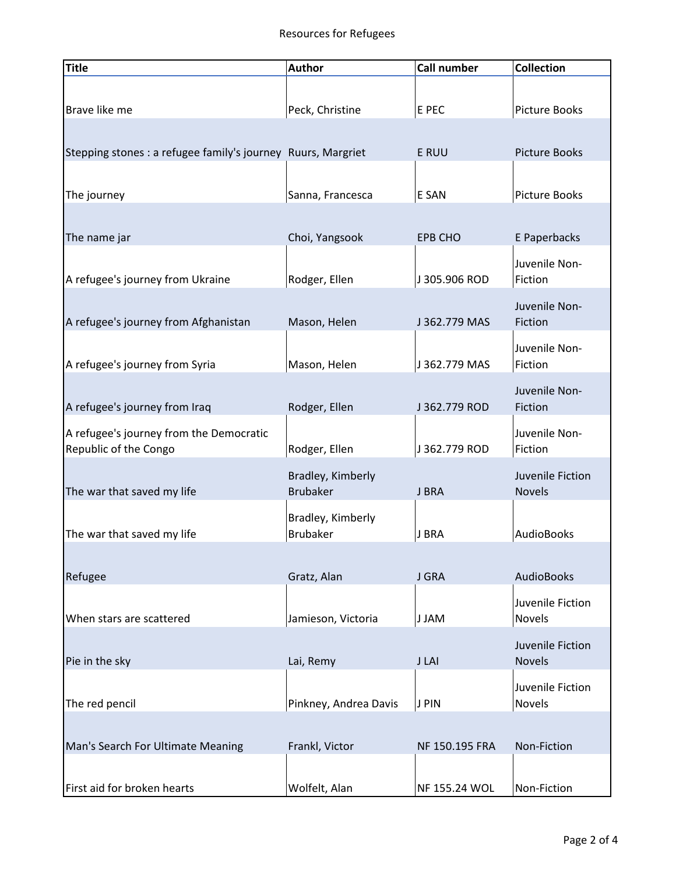## Resources for Refugees

| <b>Title</b>                                                 | <b>Author</b>         | <b>Call number</b> | <b>Collection</b>    |
|--------------------------------------------------------------|-----------------------|--------------------|----------------------|
|                                                              |                       |                    |                      |
| Brave like me                                                | Peck, Christine       | E PEC              | <b>Picture Books</b> |
|                                                              |                       |                    |                      |
| Stepping stones : a refugee family's journey Ruurs, Margriet |                       | E RUU              | <b>Picture Books</b> |
|                                                              |                       |                    |                      |
| The journey                                                  | Sanna, Francesca      | E SAN              | <b>Picture Books</b> |
|                                                              |                       |                    |                      |
| The name jar                                                 | Choi, Yangsook        | <b>EPB CHO</b>     | E Paperbacks         |
|                                                              |                       |                    | Juvenile Non-        |
| A refugee's journey from Ukraine                             | Rodger, Ellen         | J 305.906 ROD      | Fiction              |
|                                                              |                       |                    | Juvenile Non-        |
| A refugee's journey from Afghanistan                         | Mason, Helen          | J 362.779 MAS      | Fiction              |
|                                                              |                       |                    | Juvenile Non-        |
| A refugee's journey from Syria                               | Mason, Helen          | J 362.779 MAS      | Fiction              |
|                                                              |                       |                    | Juvenile Non-        |
| A refugee's journey from Iraq                                | Rodger, Ellen         | J 362.779 ROD      | Fiction              |
| A refugee's journey from the Democratic                      |                       |                    | Juvenile Non-        |
| Republic of the Congo                                        | Rodger, Ellen         | J 362.779 ROD      | Fiction              |
|                                                              | Bradley, Kimberly     |                    | Juvenile Fiction     |
| The war that saved my life                                   | <b>Brubaker</b>       | J BRA              | <b>Novels</b>        |
|                                                              | Bradley, Kimberly     |                    |                      |
| The war that saved my life                                   | <b>Brubaker</b>       | J BRA              | AudioBooks           |
|                                                              |                       |                    |                      |
| Refugee                                                      | Gratz, Alan           | J GRA              | <b>AudioBooks</b>    |
|                                                              |                       |                    | Juvenile Fiction     |
| When stars are scattered                                     | Jamieson, Victoria    | J JAM              | Novels               |
|                                                              |                       |                    | Juvenile Fiction     |
| Pie in the sky                                               | Lai, Remy             | J LAI              | <b>Novels</b>        |
|                                                              |                       |                    | Juvenile Fiction     |
| The red pencil                                               | Pinkney, Andrea Davis | J PIN              | Novels               |
|                                                              |                       | NF 150.195 FRA     | Non-Fiction          |
| Man's Search For Ultimate Meaning                            | Frankl, Victor        |                    |                      |
| First aid for broken hearts                                  | Wolfelt, Alan         | NF 155.24 WOL      | Non-Fiction          |
|                                                              |                       |                    |                      |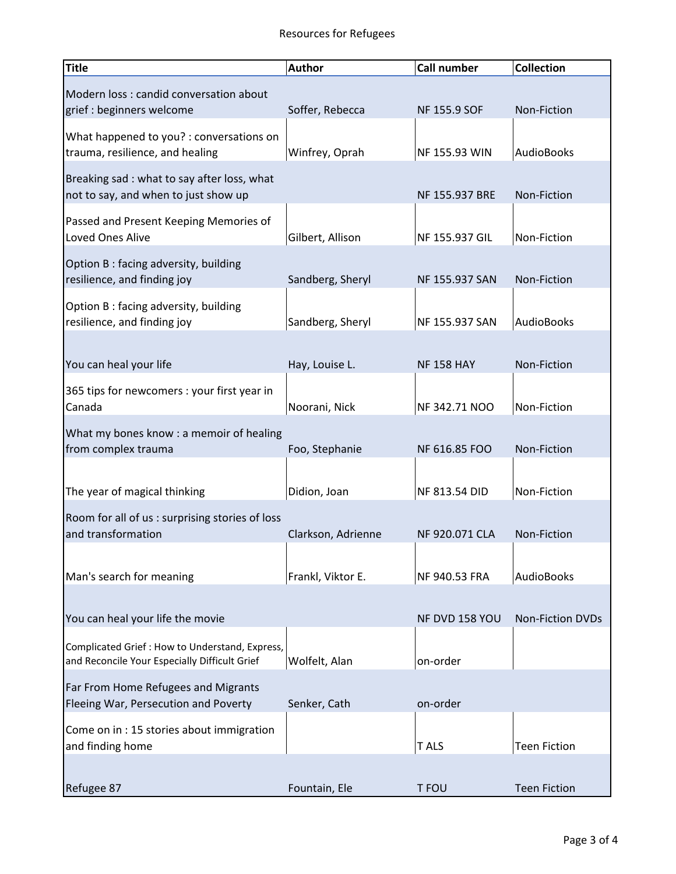| <b>Title</b>                                                                                     | <b>Author</b>      | <b>Call number</b>  | <b>Collection</b>       |
|--------------------------------------------------------------------------------------------------|--------------------|---------------------|-------------------------|
| Modern loss : candid conversation about                                                          |                    |                     |                         |
| grief : beginners welcome                                                                        | Soffer, Rebecca    | <b>NF 155.9 SOF</b> | Non-Fiction             |
| What happened to you? : conversations on<br>trauma, resilience, and healing                      | Winfrey, Oprah     | NF 155.93 WIN       | <b>AudioBooks</b>       |
| Breaking sad: what to say after loss, what                                                       |                    |                     |                         |
| not to say, and when to just show up                                                             |                    | NF 155.937 BRE      | Non-Fiction             |
| Passed and Present Keeping Memories of<br>Loved Ones Alive                                       | Gilbert, Allison   | NF 155.937 GIL      | Non-Fiction             |
| Option B: facing adversity, building<br>resilience, and finding joy                              | Sandberg, Sheryl   | NF 155.937 SAN      | Non-Fiction             |
| Option B: facing adversity, building<br>resilience, and finding joy                              | Sandberg, Sheryl   | NF 155.937 SAN      | <b>AudioBooks</b>       |
|                                                                                                  |                    |                     |                         |
| You can heal your life                                                                           | Hay, Louise L.     | <b>NF 158 HAY</b>   | Non-Fiction             |
| 365 tips for newcomers : your first year in<br>Canada                                            | Noorani, Nick      | NF 342.71 NOO       | Non-Fiction             |
| What my bones know : a memoir of healing                                                         |                    |                     |                         |
| from complex trauma                                                                              | Foo, Stephanie     | NF 616.85 FOO       | Non-Fiction             |
| The year of magical thinking                                                                     | Didion, Joan       | NF 813.54 DID       | Non-Fiction             |
| Room for all of us: surprising stories of loss                                                   |                    |                     |                         |
| and transformation                                                                               | Clarkson, Adrienne | NF 920.071 CLA      | Non-Fiction             |
|                                                                                                  |                    |                     |                         |
| Man's search for meaning                                                                         | Frankl, Viktor E.  | NF 940.53 FRA       | <b>AudioBooks</b>       |
|                                                                                                  |                    |                     |                         |
| You can heal your life the movie                                                                 |                    | NF DVD 158 YOU      | <b>Non-Fiction DVDs</b> |
| Complicated Grief : How to Understand, Express,<br>and Reconcile Your Especially Difficult Grief | Wolfelt, Alan      | on-order            |                         |
| Far From Home Refugees and Migrants                                                              |                    |                     |                         |
| Fleeing War, Persecution and Poverty                                                             | Senker, Cath       | on-order            |                         |
| Come on in : 15 stories about immigration<br>and finding home                                    |                    | T ALS               | <b>Teen Fiction</b>     |
|                                                                                                  |                    |                     |                         |
| Refugee 87                                                                                       | Fountain, Ele      | T FOU               | <b>Teen Fiction</b>     |